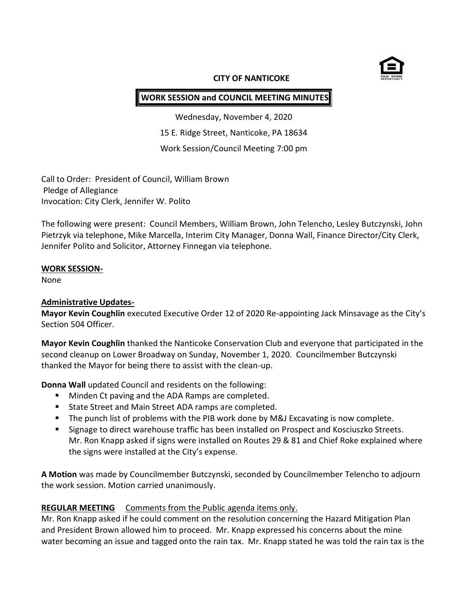

#### **CITY OF NANTICOKE**

# **WORK SESSION and COUNCIL MEETING MINUTES**

Wednesday, November 4, 2020 15 E. Ridge Street, Nanticoke, PA 18634 Work Session/Council Meeting 7:00 pm

Call to Order: President of Council, William Brown Pledge of Allegiance Invocation: City Clerk, Jennifer W. Polito

The following were present: Council Members, William Brown, John Telencho, Lesley Butczynski, John Pietrzyk via telephone, Mike Marcella, Interim City Manager, Donna Wall, Finance Director/City Clerk, Jennifer Polito and Solicitor, Attorney Finnegan via telephone.

### **WORK SESSION-**

None

### **Administrative Updates-**

**Mayor Kevin Coughlin** executed Executive Order 12 of 2020 Re-appointing Jack Minsavage as the City's Section 504 Officer.

**Mayor Kevin Coughlin** thanked the Nanticoke Conservation Club and everyone that participated in the second cleanup on Lower Broadway on Sunday, November 1, 2020. Councilmember Butczynski thanked the Mayor for being there to assist with the clean-up.

**Donna Wall** updated Council and residents on the following:

- **Minden Ct paving and the ADA Ramps are completed.**
- **State Street and Main Street ADA ramps are completed.**
- **The punch list of problems with the PIB work done by M&J Excavating is now complete.**
- **Signage to direct warehouse traffic has been installed on Prospect and Kosciuszko Streets.** Mr. Ron Knapp asked if signs were installed on Routes 29 & 81 and Chief Roke explained where the signs were installed at the City's expense.

**A Motion** was made by Councilmember Butczynski, seconded by Councilmember Telencho to adjourn the work session. Motion carried unanimously.

### **REGULAR MEETING** Comments from the Public agenda items only.

Mr. Ron Knapp asked if he could comment on the resolution concerning the Hazard Mitigation Plan and President Brown allowed him to proceed. Mr. Knapp expressed his concerns about the mine water becoming an issue and tagged onto the rain tax. Mr. Knapp stated he was told the rain tax is the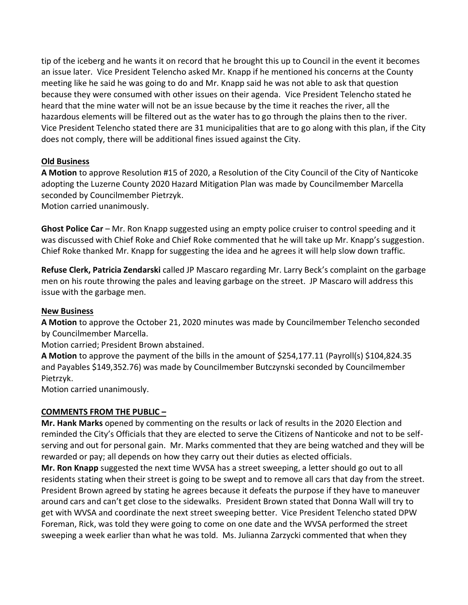tip of the iceberg and he wants it on record that he brought this up to Council in the event it becomes an issue later. Vice President Telencho asked Mr. Knapp if he mentioned his concerns at the County meeting like he said he was going to do and Mr. Knapp said he was not able to ask that question because they were consumed with other issues on their agenda. Vice President Telencho stated he heard that the mine water will not be an issue because by the time it reaches the river, all the hazardous elements will be filtered out as the water has to go through the plains then to the river. Vice President Telencho stated there are 31 municipalities that are to go along with this plan, if the City does not comply, there will be additional fines issued against the City.

## **Old Business**

**A Motion** to approve Resolution #15 of 2020, a Resolution of the City Council of the City of Nanticoke adopting the Luzerne County 2020 Hazard Mitigation Plan was made by Councilmember Marcella seconded by Councilmember Pietrzyk.

Motion carried unanimously.

**Ghost Police Car** – Mr. Ron Knapp suggested using an empty police cruiser to control speeding and it was discussed with Chief Roke and Chief Roke commented that he will take up Mr. Knapp's suggestion. Chief Roke thanked Mr. Knapp for suggesting the idea and he agrees it will help slow down traffic.

**Refuse Clerk, Patricia Zendarski** called JP Mascaro regarding Mr. Larry Beck's complaint on the garbage men on his route throwing the pales and leaving garbage on the street. JP Mascaro will address this issue with the garbage men.

### **New Business**

**A Motion** to approve the October 21, 2020 minutes was made by Councilmember Telencho seconded by Councilmember Marcella.

Motion carried; President Brown abstained.

**A Motion** to approve the payment of the bills in the amount of \$254,177.11 (Payroll(s) \$104,824.35 and Payables \$149,352.76) was made by Councilmember Butczynski seconded by Councilmember Pietrzyk.

Motion carried unanimously.

### **COMMENTS FROM THE PUBLIC –**

**Mr. Hank Marks** opened by commenting on the results or lack of results in the 2020 Election and reminded the City's Officials that they are elected to serve the Citizens of Nanticoke and not to be selfserving and out for personal gain. Mr. Marks commented that they are being watched and they will be rewarded or pay; all depends on how they carry out their duties as elected officials.

**Mr. Ron Knapp** suggested the next time WVSA has a street sweeping, a letter should go out to all residents stating when their street is going to be swept and to remove all cars that day from the street. President Brown agreed by stating he agrees because it defeats the purpose if they have to maneuver around cars and can't get close to the sidewalks. President Brown stated that Donna Wall will try to get with WVSA and coordinate the next street sweeping better. Vice President Telencho stated DPW Foreman, Rick, was told they were going to come on one date and the WVSA performed the street sweeping a week earlier than what he was told. Ms. Julianna Zarzycki commented that when they